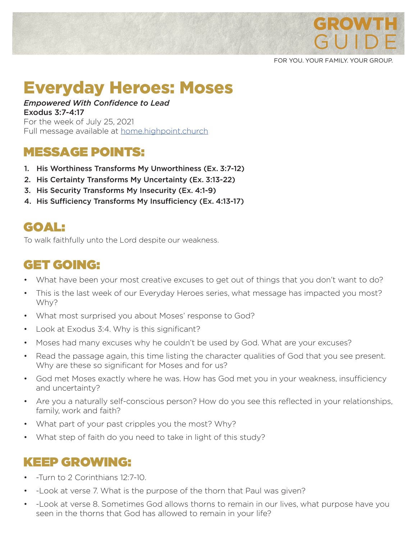

FOR YOU. YOUR FAMILY. YOUR GROUP.

# Everyday Heroes: Moses

#### *Empowered With Confidence to Lead* Exodus 3:7-4:17

For the week of July 25, 2021 Full message available at **home.highpoint.church** 

# MESSAGE POINTS:

- 1. His Worthiness Transforms My Unworthiness (Ex. 3:7-12)
- 2. His Certainty Transforms My Uncertainty (Ex. 3:13-22)
- 3. His Security Transforms My Insecurity (Ex. 4:1-9)
- 4. His Sufficiency Transforms My Insufficiency (Ex. 4:13-17)

# GOAL:

To walk faithfully unto the Lord despite our weakness.

# GET GOING:

- What have been your most creative excuses to get out of things that you don't want to do?
- This is the last week of our Everyday Heroes series, what message has impacted you most? Why?
- What most surprised you about Moses' response to God?
- Look at Exodus 3:4. Why is this significant?
- Moses had many excuses why he couldn't be used by God. What are your excuses?
- Read the passage again, this time listing the character qualities of God that you see present. Why are these so significant for Moses and for us?
- God met Moses exactly where he was. How has God met you in your weakness, insufficiency and uncertainty?
- Are you a naturally self-conscious person? How do you see this reflected in your relationships, family, work and faith?
- What part of your past cripples you the most? Why?
- What step of faith do you need to take in light of this study?

### KEEP GROWING:

- -Turn to 2 Corinthians 12:7-10.
- -Look at verse 7. What is the purpose of the thorn that Paul was given?
- -Look at verse 8. Sometimes God allows thorns to remain in our lives, what purpose have you seen in the thorns that God has allowed to remain in your life?